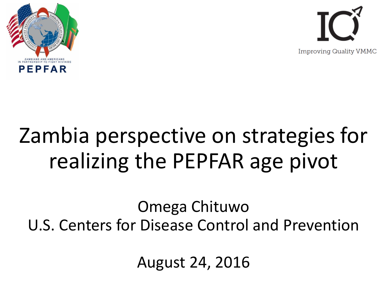



# Zambia perspective on strategies for realizing the PEPFAR age pivot

Omega Chituwo U.S. Centers for Disease Control and Prevention

August 24, 2016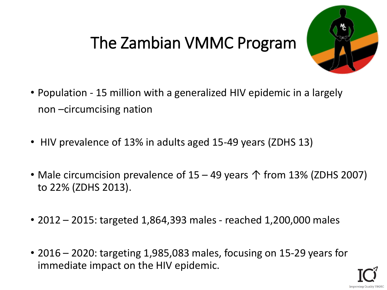# The Zambian VMMC Program



- Population 15 million with a generalized HIV epidemic in a largely non –circumcising nation
- HIV prevalence of 13% in adults aged 15-49 years (ZDHS 13)
- Male circumcision prevalence of  $15 49$  years  $\uparrow$  from 13% (ZDHS 2007) to 22% (ZDHS 2013).
- 2012 2015: targeted 1,864,393 males reached 1,200,000 males
- 2016 2020: targeting 1,985,083 males, focusing on 15-29 years for immediate impact on the HIV epidemic.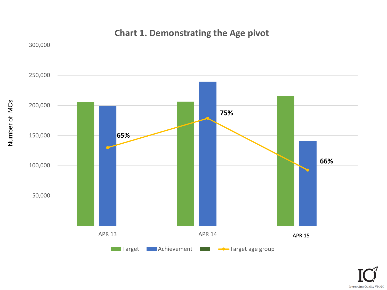

Number of MCs

#### **Chart 1. Demonstrating the Age pivot**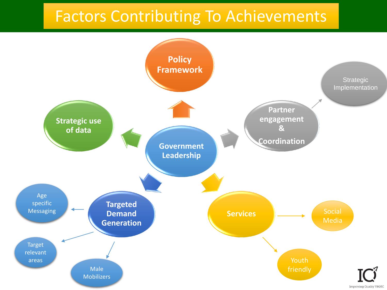### Factors Contributing To Achievements

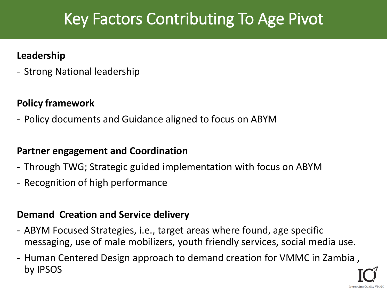## Key Factors Contributing To Age Pivot

#### **Leadership**

- Strong National leadership

### **Policy framework**

- Policy documents and Guidance aligned to focus on ABYM

### **Partner engagement and Coordination**

- Through TWG; Strategic guided implementation with focus on ABYM
- Recognition of high performance

### **Demand Creation and Service delivery**

- ABYM Focused Strategies, i.e., target areas where found, age specific messaging, use of male mobilizers, youth friendly services, social media use.
- Human Centered Design approach to demand creation for VMMC in Zambia , by IPSOS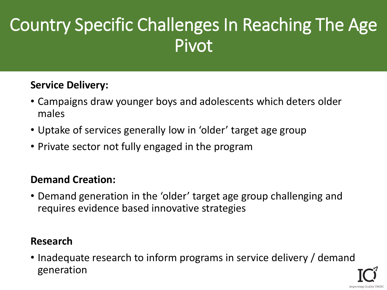# Country Specific Challenges In Reaching The Age Pivot

### **Service Delivery:**

- Campaigns draw younger boys and adolescents which deters older males
- Uptake of services generally low in 'older' target age group
- Private sector not fully engaged in the program

### **Demand Creation:**

• Demand generation in the 'older' target age group challenging and requires evidence based innovative strategies

#### **Research**

• Inadequate research to inform programs in service delivery / demand generation

Improving Quality VMM